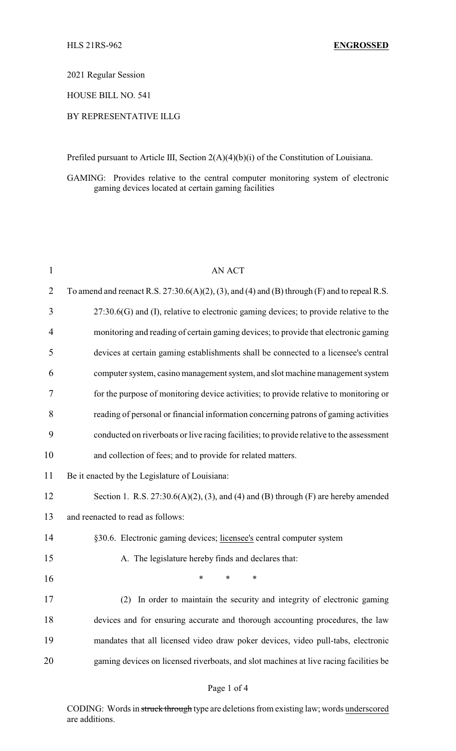2021 Regular Session

HOUSE BILL NO. 541

# BY REPRESENTATIVE ILLG

Prefiled pursuant to Article III, Section 2(A)(4)(b)(i) of the Constitution of Louisiana.

GAMING: Provides relative to the central computer monitoring system of electronic gaming devices located at certain gaming facilities

| 1              | <b>AN ACT</b>                                                                                   |
|----------------|-------------------------------------------------------------------------------------------------|
| $\overline{2}$ | To amend and reenact R.S. $27:30.6(A)(2)$ , (3), and (4) and (B) through (F) and to repeal R.S. |
| 3              | $27:30.6(G)$ and (I), relative to electronic gaming devices; to provide relative to the         |
| 4              | monitoring and reading of certain gaming devices; to provide that electronic gaming             |
| 5              | devices at certain gaming establishments shall be connected to a licensee's central             |
| 6              | computer system, casino management system, and slot machine management system                   |
| 7              | for the purpose of monitoring device activities; to provide relative to monitoring or           |
| 8              | reading of personal or financial information concerning patrons of gaming activities            |
| 9              | conducted on riverboats or live racing facilities; to provide relative to the assessment        |
| 10             | and collection of fees; and to provide for related matters.                                     |
| 11             | Be it enacted by the Legislature of Louisiana:                                                  |
| 12             | Section 1. R.S. $27:30.6(A)(2)$ , (3), and (4) and (B) through (F) are hereby amended           |
| 13             | and reenacted to read as follows:                                                               |
| 14             | §30.6. Electronic gaming devices; licensee's central computer system                            |
| 15             | A. The legislature hereby finds and declares that:                                              |
| 16             | $\ast$<br>$\ast$<br>∗                                                                           |
| 17             | In order to maintain the security and integrity of electronic gaming<br>(2)                     |
| 18             | devices and for ensuring accurate and thorough accounting procedures, the law                   |
| 19             | mandates that all licensed video draw poker devices, video pull-tabs, electronic                |
| 20             | gaming devices on licensed riverboats, and slot machines at live racing facilities be           |
|                |                                                                                                 |

### Page 1 of 4

CODING: Words in struck through type are deletions from existing law; words underscored are additions.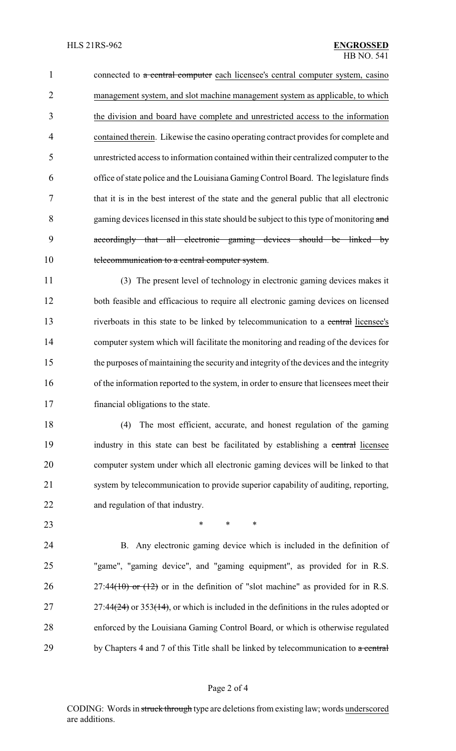1 connected to a central computer each licensee's central computer system, casino management system, and slot machine management system as applicable, to which the division and board have complete and unrestricted access to the information contained therein. Likewise the casino operating contract provides for complete and unrestricted access to information contained within their centralized computer to the office of state police and the Louisiana Gaming Control Board. The legislature finds that it is in the best interest of the state and the general public that all electronic 8 gaming devices licensed in this state should be subject to this type of monitoring and accordingly that all electronic gaming devices should be linked by 10 telecommunication to a central computer system.

 (3) The present level of technology in electronic gaming devices makes it both feasible and efficacious to require all electronic gaming devices on licensed 13 riverboats in this state to be linked by telecommunication to a central licensee's computer system which will facilitate the monitoring and reading of the devices for the purposes of maintaining the security and integrity of the devices and the integrity of the information reported to the system, in order to ensure that licensees meet their financial obligations to the state.

 (4) The most efficient, accurate, and honest regulation of the gaming 19 industry in this state can best be facilitated by establishing a central licensee computer system under which all electronic gaming devices will be linked to that system by telecommunication to provide superior capability of auditing, reporting, and regulation of that industry.

**\*** \* \* \*

 B. Any electronic gaming device which is included in the definition of "game", "gaming device", and "gaming equipment", as provided for in R.S. 26 27:44(10) or  $(12)$  or in the definition of "slot machine" as provided for in R.S. 27 27:44 $(24)$  or 353 $(14)$ , or which is included in the definitions in the rules adopted or enforced by the Louisiana Gaming Control Board, or which is otherwise regulated 29 by Chapters 4 and 7 of this Title shall be linked by telecommunication to  $\alpha$  central

#### Page 2 of 4

CODING: Words in struck through type are deletions from existing law; words underscored are additions.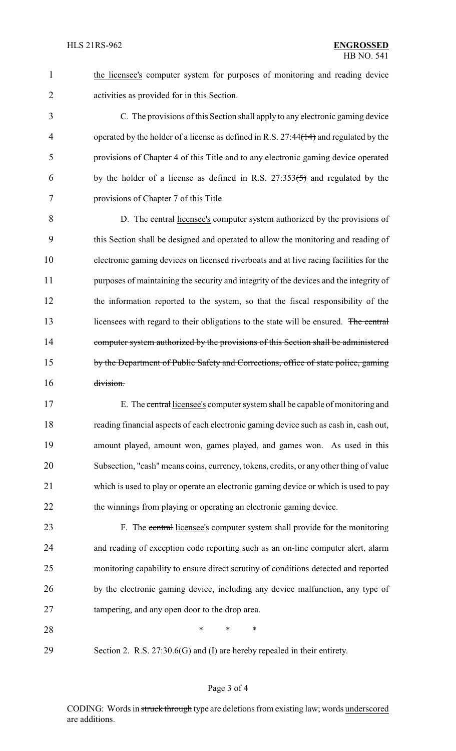the licensee's computer system for purposes of monitoring and reading device activities as provided for in this Section.

 C. The provisions of this Section shall apply to any electronic gaming device 4 operated by the holder of a license as defined in R.S. 27:44(14) and regulated by the provisions of Chapter 4 of this Title and to any electronic gaming device operated 6 by the holder of a license as defined in R.S.  $27:353(5)$  and regulated by the provisions of Chapter 7 of this Title.

 D. The central licensee's computer system authorized by the provisions of this Section shall be designed and operated to allow the monitoring and reading of electronic gaming devices on licensed riverboats and at live racing facilities for the purposes of maintaining the security and integrity of the devices and the integrity of the information reported to the system, so that the fiscal responsibility of the 13 licensees with regard to their obligations to the state will be ensured. The central 14 computer system authorized by the provisions of this Section shall be administered 15 by the Department of Public Safety and Corrections, office of state police, gaming division.

 E. The central licensee's computer system shall be capable of monitoring and reading financial aspects of each electronic gaming device such as cash in, cash out, amount played, amount won, games played, and games won. As used in this Subsection, "cash" means coins, currency, tokens, credits, or any other thing of value which is used to play or operate an electronic gaming device or which is used to pay 22 the winnings from playing or operating an electronic gaming device.

23 F. The central licensee's computer system shall provide for the monitoring and reading of exception code reporting such as an on-line computer alert, alarm monitoring capability to ensure direct scrutiny of conditions detected and reported by the electronic gaming device, including any device malfunction, any type of tampering, and any open door to the drop area.

**\*** \* \* \*

Section 2. R.S. 27:30.6(G) and (I) are hereby repealed in their entirety.

CODING: Words in struck through type are deletions from existing law; words underscored are additions.